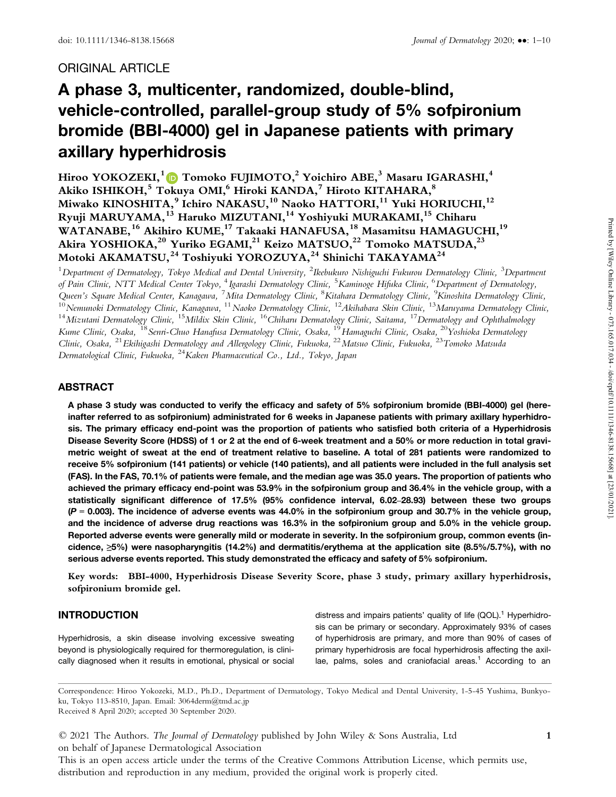# ORIGINAL ARTICLE

# A phase 3, multicenter, randomized, double-blind, vehicle-controlled, parallel-group study of 5% sofpironium bromide (BBI-4000) gel in Japanese patients with primary axillary hyperhidrosis

Hiroo YOKOZEKI,<sup>1</sup> D Tomoko FUJIMOTO,<sup>2</sup> Yoichiro ABE,<sup>3</sup> Masaru IGARASHI,<sup>4</sup> Akiko ISHIKOH,<sup>5</sup> Tokuya OMI,<sup>6</sup> Hiroki KANDA,<sup>7</sup> Hiroto KITAHARA,<sup>8</sup> Miwako KINOSHITA,<sup>9</sup> Ichiro NAKASU,<sup>10</sup> Naoko HATTORI,<sup>11</sup> Yuki HORIUCHI,<sup>12</sup> Ryuji MARUYAMA,<sup>13</sup> Haruko MIZUTANI,<sup>14</sup> Yoshiyuki MURAKAMI,<sup>15</sup> Chiharu WATANABE,<sup>16</sup> Akihiro KUME,<sup>17</sup> Takaaki HANAFUSA,<sup>18</sup> Masamitsu HAMAGUCHI,<sup>19</sup> Akira YOSHIOKA,<sup>20</sup> Yuriko EGAMI,<sup>21</sup> Keizo MATSUO,<sup>22</sup> Tomoko MATSUDA,<sup>23</sup> Motoki AKAMATSU,<sup>24</sup> Toshiyuki YOROZUYA,<sup>24</sup> Shinichi TAKAYAMA<sup>24</sup>

 $^1$ Department of Dermatology, Tokyo Medical and Dental University,  $^2$ Ikebukuro Nishiguchi Fukurou Dermatology Clinic,  $^3$ Department of Pain Clinic, NTT Medical Center Tokyo, <sup>4</sup> Igarashi Dermatology Clinic, <sup>5</sup>Kaminoge Hifuka Clinic, <sup>6</sup>Department of Dermatology, Queen's Square Medical Center, Kanagawa, <sup>7</sup>Mita Dermatology Clinic, <sup>8</sup>Kitahara Dermatology Clinic, <sup>9</sup>Kinoshita Dermatology Clinic,<br><sup>10</sup>Nemunoki Dermatology Clinic, Kanagawa, <sup>11</sup>Naoko Dermatology Clinic, <sup>12</sup>Akihabara S Kume Clinic, Osaka, <sup>18</sup>Senri-Chuo Hanafusa Dermatology Clinic, Osaka, <sup>19</sup>Hamaguchi Clinic, Osaka, <sup>20</sup>Yoshioka Dermatology Clinic, Osaka, <sup>21</sup>Ekihigashi Dermatology and Allergology Clinic, Fukuoka, <sup>22</sup>Matsuo Clinic, Fukuoka, <sup>23</sup>Tomoko Matsuda Dermatological Clinic, Fukuoka, <sup>24</sup>Kaken Pharmaceutical Co., Ltd., Tokyo, Japan

## ABSTRACT

A phase 3 study was conducted to verify the efficacy and safety of 5% sofpironium bromide (BBI-4000) gel (hereinafter referred to as sofpironium) administrated for 6 weeks in Japanese patients with primary axillary hyperhidro sis. The primary efficacy end-point was the proportion of patients who satisfied both criteria of a Hyperhidrosis Disease Severity Score (HDSS) of 1 or 2 at the end of 6-week treatment and a 50% or more reduction in total gravi metric weight of sweat at the end of treatment relative to baseline. A total of 281 patients were randomized to receive 5% sofpironium (141 patients) or vehicle (140 patients), and all patients were included in the full analysis set (FAS). In the FAS, 70.1% of patients were female, and the median age was 35.0 years. The proportion of patients who achieved the primary efficacy end-point was 53.9% in the sofpironium group and 36.4% in the vehicle group, with a statistically significant difference of 17.5% (95% confidence interval, 6.02–28.93) between these two groups  $(P = 0.003)$ . The incidence of adverse events was 44.0% in the sofpironium group and 30.7% in the vehicle group, and the incidence of adverse drug reactions was 16.3% in the sofpironium group and 5.0% in the vehicle group. Reported adverse events were generally mild or moderate in severity. In the sofpironium group, common events (incidence, ≥5%) were nasopharyngitis (14.2%) and dermatitis/erythema at the application site (8.5%/5.7%), with no serious adverse events reported. This study demonstrated the efficacy and safety of 5% sofpironium.

Key words: BBI-4000, Hyperhidrosis Disease Severity Score, phase 3 study, primary axillary hyperhidrosis, sofpironium bromide gel.

## INTRODUCTION

Hyperhidrosis, a skin disease involving excessive sweating beyond is physiologically required for thermoregulation, is clini cally diagnosed when it results in emotional, physical or social distress and impairs patients' quality of life  $(QOL)^1$ . Hyperhidrosis can be primary or secondary. Approximately 93% of cases of hyperhidrosis are primary, and more than 90% of cases of primary hyperhidrosis are focal hyperhidrosis affecting the axil $la$ , palms, soles and craniofacial areas.<sup>1</sup> According to an

Correspondence: Hiroo Yokozeki, M.D., Ph.D., Department of Dermatology, Tokyo Medical and Dental University, 1-5-45 Yushima, Bunkyo ku, Tokyo 113-8510, Japan. Email: 3064derm@tmd.ac.jp

Received 8 April 2020; accepted 30 September 2020.

© 2021 The Authors. The Journal of Dermatology published by John Wiley & Sons Australia, Ltd 1 on behalf of Japanese Dermatological Association

This is an open access article under the terms of the Creative Commons Attribution License, which permits use, distribution and reproduction in any medium, provided the original work is properly cited.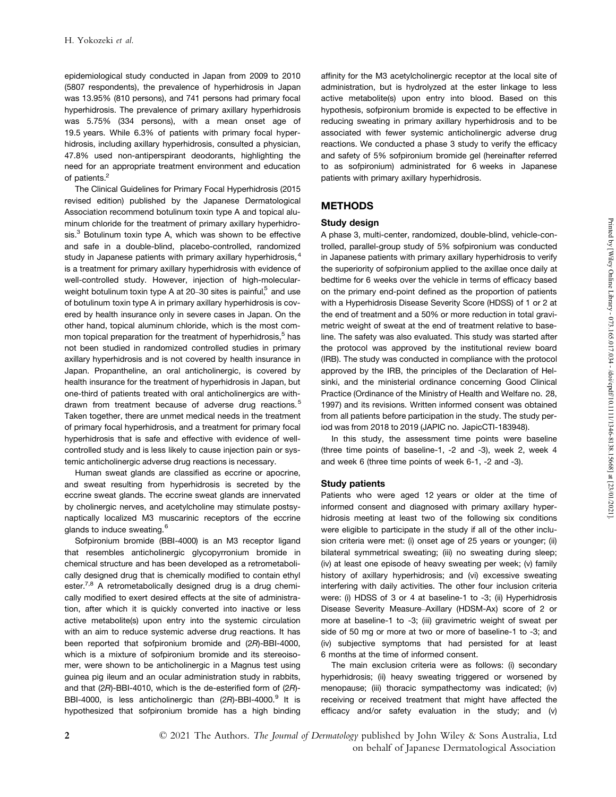epidemiological study conducted in Japan from 2009 to 2010 (5807 respondents), the prevalence of hyperhidrosis in Japan was 13.95% (810 persons), and 741 persons had primary focal hyperhidrosis. The prevalence of primary axillary hyperhidrosis was 5.75% (334 persons), with a mean onset age of 19.5 years. While 6.3% of patients with primary focal hyper hidrosis, including axillary hyperhidrosis, consulted a physician, 47.8% used non-antiperspirant deodorants, highlighting the need for an appropriate treatment environment and education of patients.<sup>2</sup>

The Clinical Guidelines for Primary Focal Hyperhidrosis (2015 revised edition) published by the Japanese Dermatological Association recommend botulinum toxin type A and topical alu minum chloride for the treatment of primary axillary hyperhidro sis.<sup>3</sup> Botulinum toxin type A, which was shown to be effective and safe in a double-blind, placebo-controlled, randomized study in Japanese patients with primary axillary hyperhidrosis, <sup>4</sup> is a treatment for primary axillary hyperhidrosis with evidence of well-controlled study. However, injection of high-molecular weight botulinum toxin type A at 20–30 sites is painful, $5$  and use of botulinum toxin type A in primary axillary hyperhidrosis is cov ered by health insurance only in severe cases in Japan. On the other hand, topical aluminum chloride, which is the most com mon topical preparation for the treatment of hyperhidrosis, $5$  has not been studied in randomized controlled studies in primary axillary hyperhidrosis and is not covered by health insurance in Japan. Propantheline, an oral anticholinergic, is covered by health insurance for the treatment of hyperhidrosis in Japan, but one-third of patients treated with oral anticholinergics are with drawn from treatment because of adverse drug reactions.<sup>5</sup> Taken together, there are unmet medical needs in the treatment of primary focal hyperhidrosis, and a treatment for primary focal hyperhidrosis that is safe and effective with evidence of wellcontrolled study and is less likely to cause injection pain or systemic anticholinergic adverse drug reactions is necessary.

Human sweat glands are classified as eccrine or apocrine, and sweat resulting from hyperhidrosis is secreted by the eccrine sweat glands. The eccrine sweat glands are innervated by cholinergic nerves, and acetylcholine may stimulate postsy naptically localized M3 muscarinic receptors of the eccrine glands to induce sweating.<sup>6</sup>

Sofpironium bromide (BBI-4000) is an M3 receptor ligand that resembles anticholinergic glycopyrronium bromide in chemical structure and has been developed as a retrometaboli cally designed drug that is chemically modified to contain ethyl ester.<sup>7,8</sup> A retrometabolically designed drug is a drug chemically modified to exert desired effects at the site of administration, after which it is quickly converted into inactive or less active metabolite(s) upon entry into the systemic circulation with an aim to reduce systemic adverse drug reactions. It has been reported that sofpironium bromide and (2R)-BBI-4000, which is a mixture of sofpironium bromide and its stereoiso mer, were shown to be anticholinergic in a Magnus test using guinea pig ileum and an ocular administration study in rabbits, and that (2R)-BBI-4010, which is the de-esterified form of (2R)- BBI-4000, is less anticholinergic than (2R)-BBI-4000.<sup>9</sup> It is a hypothesized that sofpironium bromide has a high binding

affinity for the M3 acetylcholinergic receptor at the local site of administration, but is hydrolyzed at the ester linkage to less active metabolite(s) upon entry into blood. Based on this hypothesis, sofpironium bromide is expected to be effective in reducing sweating in primary axillary hyperhidrosis and to be associated with fewer systemic anticholinergic adverse drug reactions. We conducted a phase 3 study to verify the efficacy and safety of 5% sofpironium bromide gel (hereinafter referred to as sofpironium) administrated for 6 weeks in Japanese patients with primary axillary hyperhidrosis.

# **METHODS**

## Study design

A phase 3, multi-center, randomized, double-blind, vehicle-controlled, parallel-group study of 5% sofpironium was conducted in Japanese patients with primary axillary hyperhidrosis to verify the superiority of sofpironium applied to the axillae once daily at bedtime for 6 weeks over the vehicle in terms of efficacy based on the primary end-point defined as the proportion of patients with a Hyperhidrosis Disease Severity Score (HDSS) of 1 or 2 at the end of treatment and a 50% or more reduction in total gravi metric weight of sweat at the end of treatment relative to baseline. The safety was also evaluated. This study was started after the protocol was approved by the institutional review board (IRB). The study was conducted in compliance with the protocol approved by the IRB, the principles of the Declaration of Hel sinki, and the ministerial ordinance concerning Good Clinical Practice (Ordinance of the Ministry of Health and Welfare no. 28, 1997) and its revisions. Written informed consent was obtained from all patients before participation in the study. The study period was from 2018 to 2019 (JAPIC no. JapicCTI-183948).

In this study, the assessment time points were baseline (three time points of baseline-1, -2 and -3), week 2, week 4 and week 6 (three time points of week 6-1, -2 and -3).

#### Study patients

Patients who were aged 12 years or older at the time of informed consent and diagnosed with primary axillary hyper hidrosis meeting at least two of the following six conditions were eligible to participate in the study if all of the other inclu sion criteria were met: (i) onset age of 25 years or younger; (ii) bilateral symmetrical sweating; (iii) no sweating during sleep; (iv) at least one episode of heavy sweating per week; (v) family history of axillary hyperhidrosis; and (vi) excessive sweating interfering with daily activities. The other four inclusion criteria were: (i) HDSS of 3 or 4 at baseline-1 to -3; (ii) Hyperhidrosis Disease Severity Measure–Axillary (HDSM-Ax) score of 2 or more at baseline-1 to -3; (iii) gravimetric weight of sweat per side of 50 mg or more at two or more of baseline-1 to -3; and (iv) subjective symptoms that had persisted for at least 6 months at the time of informed consent.

The main exclusion criteria were as follows: (i) secondary hyperhidrosis; (ii) heavy sweating triggered or worsened by menopause; (iii) thoracic sympathectomy was indicated; (iv) receiving or received treatment that might have affected the efficacy and/or safety evaluation in the study; and (v)

2 **C** 2021 The Authors. *The Journal of Dermatology* published by John Wiley & Sons Australia, Ltd on behalf of Japanese Dermatological Association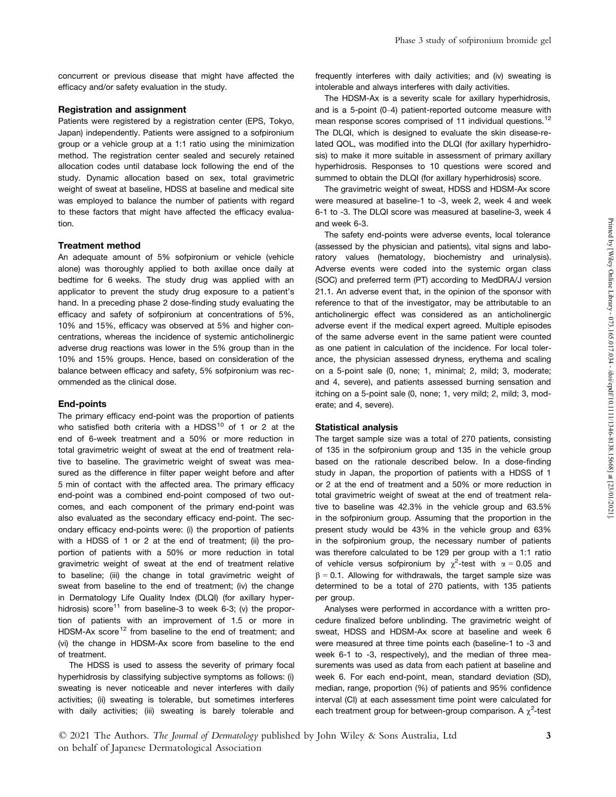concurrent or previous disease that might have affected the efficacy and/or safety evaluation in the study.

## Registration and assignment

Patients were registered by a registration center (EPS, Tokyo, Japan) independently. Patients were assigned to a sofpironium group or a vehicle group at a 1:1 ratio using the minimization method. The registration center sealed and securely retained allocation codes until database lock following the end of the study. Dynamic allocation based on sex, total gravimetric weight of sweat at baseline, HDSS at baseline and medical site was employed to balance the number of patients with regard to these factors that might have affected the efficacy evaluation.

## Treatment method

An adequate amount of 5% sofpironium or vehicle (vehicle alone) was thoroughly applied to both axillae once daily at bedtime for 6 weeks. The study drug was applied with an applicator to prevent the study drug exposure to a patient's hand. In a preceding phase 2 dose-finding study evaluating the efficacy and safety of sofpironium at concentrations of 5%, 10% and 15%, efficacy was observed at 5% and higher con centrations, whereas the incidence of systemic anticholinergic adverse drug reactions was lower in the 5% group than in the 10% and 15% groups. Hence, based on consideration of the balance between efficacy and safety, 5% sofpironium was rec ommended as the clinical dose.

## End-points

The primary efficacy end-point was the proportion of patients who satisfied both criteria with a  $H D S S^{10}$  of 1 or 2 at the  $S$ end of 6-week treatment and a 50% or more reduction in total gravimetric weight of sweat at the end of treatment relative to baseline. The gravimetric weight of sweat was mea sured as the difference in filter paper weight before and after 5 min of contact with the affected area. The primary efficacy end-point was a combined end-point composed of two out comes, and each component of the primary end-point was also evaluated as the secondary efficacy end-point. The sec ondary efficacy end-points were: (i) the proportion of patients with a HDSS of 1 or 2 at the end of treatment; (ii) the proportion of patients with a 50% or more reduction in total gravimetric weight of sweat at the end of treatment relative to baseline; (iii) the change in total gravimetric weight of sweat from baseline to the end of treatment; (iv) the change in Dermatology Life Quality Index (DLQI) (for axillary hyper hidrosis) score<sup>11</sup> from baseline-3 to week 6-3; (v) the proportion of patients with an improvement of 1.5 or more in HDSM-Ax score<sup>12</sup> from baseline to the end of treatment; and sv (vi) the change in HDSM-Ax score from baseline to the end of treatment.

The HDSS is used to assess the severity of primary focal hyperhidrosis by classifying subjective symptoms as follows: (i) sweating is never noticeable and never interferes with daily activities; (ii) sweating is tolerable, but sometimes interferes with daily activities; (iii) sweating is barely tolerable and frequently interferes with daily activities; and (iv) sweating is intolerable and always interferes with daily activities.

The HDSM-Ax is a severity scale for axillary hyperhidrosis, and is a 5-point (0–4) patient-reported outcome measure with mean response scores comprised of 11 individual questions.<sup>12</sup> The DLQI, which is designed to evaluate the skin disease-related QOL, was modified into the DLQI (for axillary hyperhidro sis) to make it more suitable in assessment of primary axillary hyperhidrosis. Responses to 10 questions were scored and summed to obtain the DLQI (for axillary hyperhidrosis) score.

The gravimetric weight of sweat, HDSS and HDSM-Ax score were measured at baseline-1 to -3, week 2, week 4 and week 6-1 to -3. The DLQI score was measured at baseline-3, week 4 and week 6-3.

The safety end-points were adverse events, local tolerance (assessed by the physician and patients), vital signs and laboratory values (hematology, biochemistry and urinalysis). Adverse events were coded into the systemic organ class (SOC) and preferred term (PT) according to MedDRA/J version 21.1. An adverse event that, in the opinion of the sponsor with reference to that of the investigator, may be attributable to an anticholinergic effect was considered as an anticholinergic adverse event if the medical expert agreed. Multiple episodes of the same adverse event in the same patient were counted as one patient in calculation of the incidence. For local toler ance, the physician assessed dryness, erythema and scaling on a 5-point sale (0, none; 1, minimal; 2, mild; 3, moderate; and 4, severe), and patients assessed burning sensation and itching on a 5-point sale (0, none; 1, very mild; 2, mild; 3, mod erate; and 4, severe).

#### Statistical analysis

The target sample size was a total of 270 patients, consisting of 135 in the sofpironium group and 135 in the vehicle group based on the rationale described below. In a dose-finding study in Japan, the proportion of patients with a HDSS of 1 or 2 at the end of treatment and a 50% or more reduction in total gravimetric weight of sweat at the end of treatment relative to baseline was 42.3% in the vehicle group and 63.5% in the sofpironium group. Assuming that the proportion in the present study would be 43% in the vehicle group and 63% in the sofpironium group, the necessary number of patients was therefore calculated to be 129 per group with a 1:1 ratio of vehicle versus sofpironium by  $\chi^2$ -test with  $\alpha = 0.05$  and  $\beta$  = 0.1. Allowing for withdrawals, the target sample size was determined to be a total of 270 patients, with 135 patients per group.

Analyses were performed in accordance with a written pro cedure finalized before unblinding. The gravimetric weight of sweat, HDSS and HDSM-Ax score at baseline and week 6 were measured at three time points each (baseline-1 to -3 and week 6-1 to -3, respectively), and the median of three mea surements was used as data from each patient at baseline and week 6. For each end-point, mean, standard deviation (SD), median, range, proportion (%) of patients and 95% confidence interval (CI) at each assessment time point were calculated for each treatment group for between-group comparison. A  $\chi^2$ -test

© 2021 The Authors. The Journal of Dermatology published by John Wiley & Sons Australia, Ltd 3 on behalf of Japanese Dermatological Association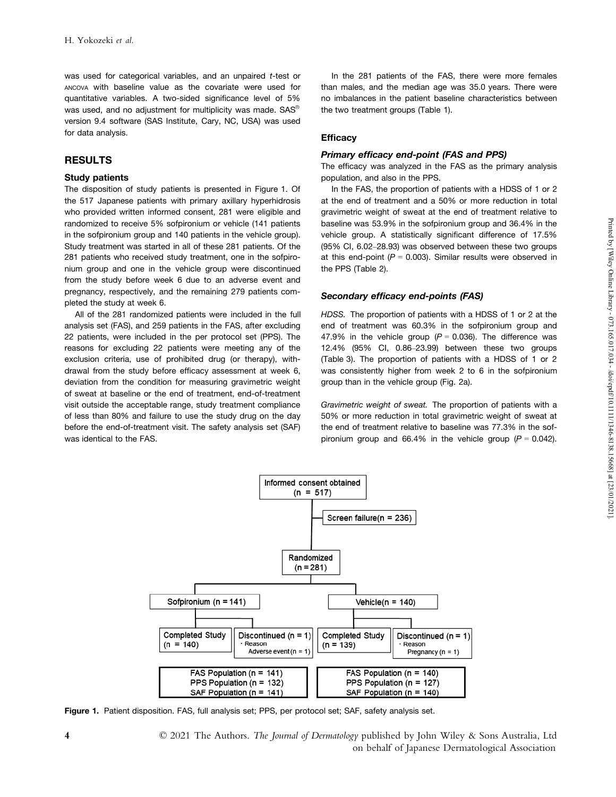was used for categorical variables, and an unpaired t-test or ANCOVA with baseline value as the covariate were used for quantitative variables. A two-sided significance level of 5% was used, and no adjustment for multiplicity was made.  $SAS^{\circ}$  th version 9.4 software (SAS Institute, Cary, NC, USA) was used for data analysis.

# RESULTS

### Study patients

The disposition of study patients is presented in Figure 1. Of the 517 Japanese patients with primary axillary hyperhidrosis who provided written informed consent, 281 were eligible and randomized to receive 5% sofpironium or vehicle (141 patients in the sofpironium group and 140 patients in the vehicle group). Study treatment was started in all of these 281 patients. Of the 281 patients who received study treatment, one in the sofpiro nium group and one in the vehicle group were discontinued from the study before week 6 due to an adverse event and pregnancy, respectively, and the remaining 279 patients com pleted the study at week 6.

All of the <sup>281</sup> randomized patients were included in the fullanalysis set (FAS), and <sup>259</sup> patients in the FAS, after excluding 22 patients, were included in the per protocol set (PPS). The reasons for excluding 22 patients were meeting any of the exclusion criteria, use of prohibited drug (or therapy), with drawal from the study before efficacy assessment at week 6, deviation from the condition for measuring gravimetric weight of sweat at baseline or the end of treatment, end-of-treatment visit outside the acceptable range, study treatment compliance of less than 80% and failure to use the study drug on the day before the end-of-treatment visit. The safety analysis set (SAF) was identical to the FAS.

In the 281 patients of the FAS, there were more females than males, and the median age was 35.0 years. There were no imbalances in the patient baseline characteristics between the two treatment groups (Table 1).

## **Efficacy**

## Primary efficacy end-point (FAS and PPS)

The efficacy was analyzed in the FAS as the primary analysis population, and also in the PPS.

In the FAS, the proportion of patients with a HDSS of 1 or 2 at the end of treatment and a 50% or more reduction in total gravimetric weight of sweat at the end of treatment relative to baseline was 53.9% in the sofpironium group and 36.4% in the vehicle group. A statistically significant difference of 17.5% (95% CI, 6.02–28.93) was observed between these two groups at this end-point ( $P = 0.003$ ). Similar results were observed in the PPS (Table 2).

## Secondary efficacy end-points (FAS)

HDSS. The proportion of patients with a HDSS of 1 or 2 at the end of treatment was 60.3% in the sofpironium group and 47.9% in the vehicle group ( $P = 0.036$ ). The difference was 12.4% (95% CI, 0.86–23.99) between these two groups (Table 3). The proportion of patients with a HDSS of 1 or 2 was consistently higher from week 2 to 6 in the sofpironium group than in the vehicle group (Fig. 2a).

Gravimetric weight of sweat. The proportion of patients with a 50% or more reduction in total gravimetric weight of sweat at the end of treatment relative to baseline was 77.3% in the sof pironium group and 66.4% in the vehicle group  $(P = 0.042)$ .



Figure 1. Patient disposition. FAS, full analysis set; PPS, per protocol set; SAF, safety analysis set.

4 © 2021 The Authors. The Journal of Dermatology published by John Wiley & Sons Australia, Ltd on behalf of Japanese Dermatological Association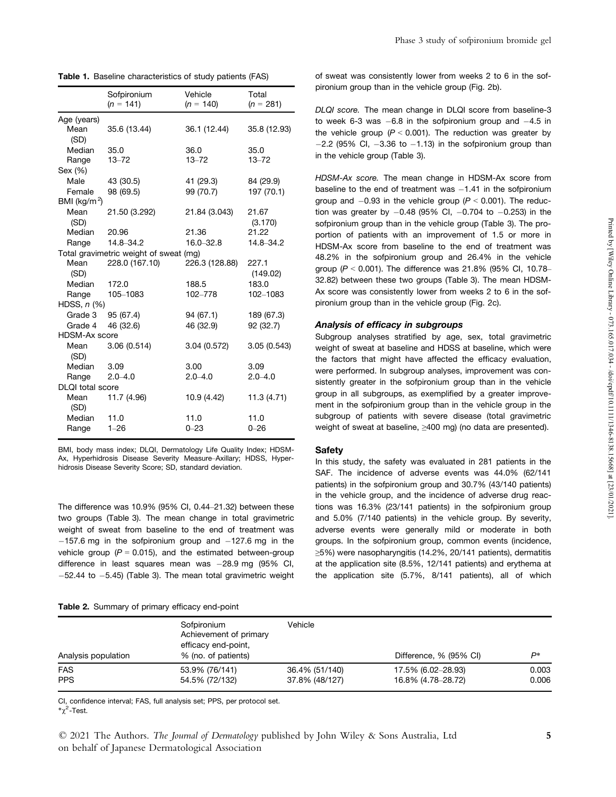Table 1. Baseline characteristics of study patients (FAS)

|                          | Sofpironium<br>$(n = 141)$             | Vehicle<br>$(n = 140)$ | Total<br>$(n = 281)$ |
|--------------------------|----------------------------------------|------------------------|----------------------|
| Age (years)              |                                        |                        |                      |
| Mean<br>(SD)             | 35.6 (13.44)                           | 36.1 (12.44)           | 35.8 (12.93)         |
| Median                   | 35.0                                   | 36.0                   | 35.0                 |
| Range                    | $13 - 72$                              | $13 - 72$              | $13 - 72$            |
| Sex (%)                  |                                        |                        |                      |
| Male                     | 43 (30.5)                              | 41 (29.3)              | 84 (29.9)            |
| Female                   | 98 (69.5)                              | 99 (70.7)              | 197 (70.1)           |
| BMI (kg/m <sup>2</sup> ) |                                        |                        |                      |
| Mean<br>(SD)             | 21.50 (3.292)                          | 21.84 (3.043)          | 21.67<br>(3.170)     |
| Median                   | 20.96                                  | 21.36                  | 21.22                |
| Range                    | 14.8-34.2                              | $16.0 - 32.8$          | 14.8-34.2            |
|                          | Total gravimetric weight of sweat (mg) |                        |                      |
| Mean<br>(SD)             | 228.0 (167.10)                         | 226.3 (128.88)         | 227.1<br>(149.02)    |
| Median                   | 172.0                                  | 188.5                  | 183.0                |
| Range                    | 105-1083                               | 102-778                | 102-1083             |
| HDSS, $n$ $%$            |                                        |                        |                      |
| Grade 3                  | 95 (67.4)                              | 94 (67.1)              | 189 (67.3)           |
| Grade 4                  | 46 (32.6)                              | 46 (32.9)              | 92 (32.7)            |
| <b>HDSM-Ax score</b>     |                                        |                        |                      |
| Mean<br>(SD)             | 3.06(0.514)                            | 3.04 (0.572)           | 3.05(0.543)          |
| Median                   | 3.09                                   | 3.00                   | 3.09                 |
| Range                    | $2.0 - 4.0$                            | $2.0 - 4.0$            | $2.0 - 4.0$          |
| <b>DLQI</b> total score  |                                        |                        |                      |
| Mean<br>(SD)             | 11.7 (4.96)                            | 10.9 (4.42)            | 11.3(4.71)           |
| Median                   | 11.0                                   | 11.0                   | 11.0                 |
| Range                    | $1 - 26$                               | $0 - 23$               | $0 - 26$             |

BMI, body mass index; DLQI, Dermatology Life Quality Index; HDSM-Ax, Hyperhidrosis Disease Severity Measure–Axillary; HDSS, Hyper hidrosis Disease Severity Score; SD, standard deviation.

The difference was 10.9% (95% CI, 0.44–21.32) between these two groups (Table 3). The mean change in total gravimetric weight of sweat from baseline to the end of treatment was  $-157.6$  mg in the sofpironium group and  $-127.6$  mg in the vehicle group  $(P = 0.015)$ , and the estimated between-group difference in least squares mean was  $-28.9$  mg (95% CI,  $-52.44$  to  $-5.45$ ) (Table 3). The mean total gravimetric weight

#### Table 2. Summary of primary efficacy end-point

of sweat was consistently lower from weeks 2 to 6 in the sof pironium group than in the vehicle group (Fig. 2b).

DLQI score. The mean change in DLQI score from baseline-3 to week 6-3 was  $-6.8$  in the sofpironium group and  $-4.5$  in the vehicle group ( $P < 0.001$ ). The reduction was greater by  $-2.2$  (95% CI,  $-3.36$  to  $-1.13$ ) in the sofpironium group than in the vehicle group (Table 3).

HDSM-Ax score. The mean change in HDSM-Ax score from baseline to the end of treatment was  $-1.41$  in the sofpironium group and  $-0.93$  in the vehicle group ( $P < 0.001$ ). The reduction was greater by  $-0.48$  (95% CI,  $-0.704$  to  $-0.253$ ) in the sofpironium group than in the vehicle group (Table 3). The proportion of patients with an improvement of 1.5 or more in HDSM-Ax score from baseline to the end of treatment was 48.2% in the sofpironium group and 26.4% in the vehicle group ( $P < 0.001$ ). The difference was 21.8% (95% CI, 10.78– 32.82) between these two groups (Table 3). The mean HDSM-Ax score was consistently lower from weeks 2 to 6 in the sof pironium group than in the vehicle group (Fig. 2c).

## Analysis of efficacy in subgroups

Subgroup analyses stratified by age, sex, total gravimetric weight of sweat at baseline and HDSS at baseline, which were the factors that might have affected the efficacy evaluation, were performed. In subgroup analyses, improvement was con sistently greater in the sofpironium group than in the vehicle group in all subgroups, as exemplified by a greater improve ment in the sofpironium group than in the vehicle group in the subgroup of patients with severe disease (total gravimetric weight of sweat at baseline, ≥400 mg) (no data are presented).

#### Safety

In this study, the safety was evaluated in 281 patients in the SAF. The incidence of adverse events was 44.0% (62/141 patients) in the sofpironium group and 30.7% (43/140 patients) in the vehicle group, and the incidence of adverse drug reactions was 16.3% (23/141 patients) in the sofpironium group and 5.0% (7/140 patients) in the vehicle group. By severity, adverse events were generally mild or moderate in both groups. In the sofpironium group, common events (incidence, ≥5%) were nasopharyngitis (14.2%, 20/141 patients), dermatitis at the application site (8.5%, 12/141 patients) and erythema at the application site (5.7%, 8/141 patients), all of which

| Analysis population | Sofpironium<br>Achievement of primary<br>efficacy end-point,<br>% (no. of patients) | Vehicle        | Difference, % (95% CI) |       |
|---------------------|-------------------------------------------------------------------------------------|----------------|------------------------|-------|
| <b>FAS</b>          | 53.9% (76/141)                                                                      | 36.4% (51/140) | 17.5% (6.02-28.93)     | 0.003 |
| <b>PPS</b>          | 54.5% (72/132)                                                                      | 37.8% (48/127) | 16.8% (4.78–28.72)     | 0.006 |

CI, confidence interval; FAS, full analysis set; PPS, per protocol set.  $^* \chi^2$ -Test.

© 2021 The Authors. The Journal of Dermatology published by John Wiley & Sons Australia, Ltd 5 on behalf of Japanese Dermatological Association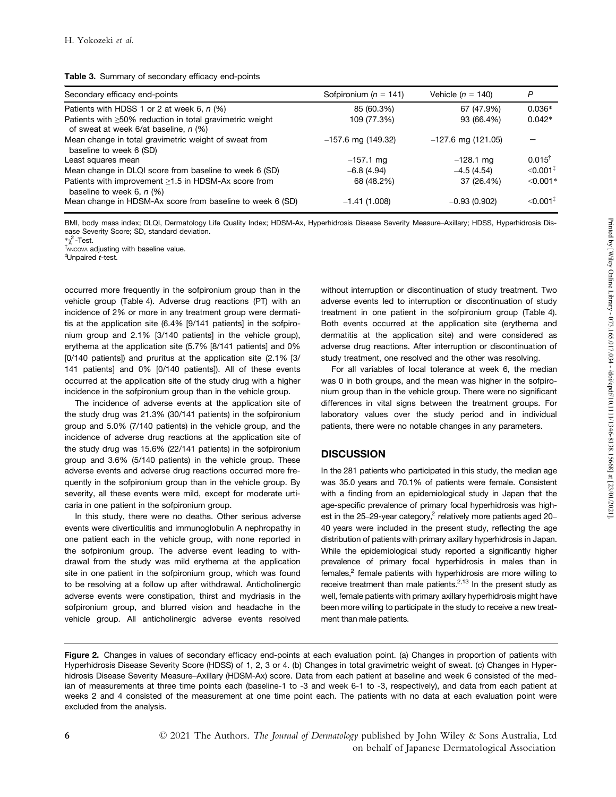|  |  | <b>Table 3.</b> Summary of secondary efficacy end-points |  |
|--|--|----------------------------------------------------------|--|
|--|--|----------------------------------------------------------|--|

| Secondary efficacy end-points                                                                            | Sofpironium ( $n = 141$ ) | Vehicle ( $n = 140$ ) | P                      |
|----------------------------------------------------------------------------------------------------------|---------------------------|-----------------------|------------------------|
| Patients with HDSS 1 or 2 at week 6, $n$ (%)                                                             | 85 (60.3%)                | 67 (47.9%)            | $0.036*$               |
| Patients with $\geq 50\%$ reduction in total gravimetric weight<br>of sweat at week 6/at baseline, n (%) | 109 (77.3%)               | 93 (66.4%)            | $0.042*$               |
| Mean change in total gravimetric weight of sweat from<br>baseline to week 6 (SD)                         | $-157.6$ mg (149.32)      | $-127.6$ mg (121.05)  |                        |
| Least squares mean                                                                                       | $-157.1$ mg               | $-128.1$ mg           | $0.015^{\dagger}$      |
| Mean change in DLQI score from baseline to week 6 (SD)                                                   | $-6.8(4.94)$              | $-4.5(4.54)$          | $< 0.001$ <sup>*</sup> |
| Patients with improvement $\geq$ 1.5 in HDSM-Ax score from<br>baseline to week 6, $n$ (%)                | 68 (48.2%)                | 37 (26.4%)            | $< 0.001*$             |
| Mean change in HDSM-Ax score from baseline to week 6 (SD)                                                | $-1.41(1.008)$            | $-0.93(0.902)$        | $< 0.001$ <sup>‡</sup> |

BMI, body mass index; DLQI, Dermatology Life Quality Index; HDSM-Ax, Hyperhidrosis Disease Severity Measure–Axillary; HDSS, Hyperhidrosis Disease Severity Score; SD, standard deviation.

\*γ - Test.  $t_{\text{ANCOVA}}$  adjusting with baseline value.<br> $t_{\text{Unpaired}}$  t-test.

occurred more frequently in the sofpironium group than in the vehicle group (Table 4). Adverse drug reactions (PT) with an incidence of 2% or more in any treatment group were dermatitis at the application site (6.4% [9/141 patients] in the sofpiro nium group and 2.1% [3/140 patients] in the vehicle group), erythema at the application site (5.7% [8/141 patients] and 0% [0/140 patients]) and pruritus at the application site (2.1% [3/ 141 patients] and 0% [0/140 patients]). All of these events occurred at the application site of the study drug with a higher incidence in the sofpironium group than in the vehicle group.

The incidence of adverse events at the application site of the study drug was 21.3% (30/141 patients) in the sofpironium group and 5.0% (7/140 patients) in the vehicle group, and the incidence of adverse drug reactions at the application site of the study drug was 15.6% (22/141 patients) in the sofpironium group and 3.6% (5/140 patients) in the vehicle group. These adverse events and adverse drug reactions occurred more fre quently in the sofpironium group than in the vehicle group. By severity, all these events were mild, except for moderate urti caria in one patient in the sofpironium group.

In this study, there were no deaths. Other serious adverse events were diverticulitis and immunoglobulin A nephropathy in one patient each in the vehicle group, with none reported in the sofpironium group. The adverse event leading to with drawal from the study was mild erythema at the application site in one patient in the sofpironium group, which was found to be resolving at a follow up after withdrawal. Anticholinergic adverse events were constipation, thirst and mydriasis in the sofpironium group, and blurred vision and headache in the vehicle group. All anticholinergic adverse events resolved without interruption or discontinuation of study treatment. Two adverse events led to interruption or discontinuation of study treatment in one patient in the sofpironium group (Table 4). Both events occurred at the application site (erythema and dermatitis at the application site) and were considered as adverse drug reactions. After interruption or discontinuation of study treatment, one resolved and the other was resolving.

For all variables of local tolerance at week 6, the median was 0 in both groups, and the mean was higher in the sofpiro nium group than in the vehicle group. There were no significant differences in vital signs between the treatment groups. For laboratory values over the study period and in individual patients, there were no notable changes in any parameters.

# **DISCUSSION**

In the 281 patients who participated in this study, the median age was 35.0 years and 70.1% of patients were female. Consistent with a finding from an epidemiological study in Japan that the age-specific prevalence of primary focal hyperhidrosis was high est in the 25–29-year category, $^2$  relatively more patients aged 20– 40 years were included in the present study, reflecting the age distribution of patients with primary axillary hyperhidrosis in Japan. While the epidemiological study reported a significantly higher prevalence of primary focal hyperhidrosis in males than in females,<sup>2</sup> female patients with hyperhidrosis are more willing to receive treatment than male patients.<sup>2,13</sup> In the present study as well, female patients with primary axillary hyperhidrosis might have been more willing to participate in the study to receive a new treat ment than male patients.

Figure 2. Changes in values of secondary efficacy end-points at each evaluation point. (a) Changes in proportion of patients with Hyperhidrosis Disease Severity Score (HDSS) of 1, 2, 3 or 4. (b) Changes in total gravimetric weight of sweat. (c) Changes in Hyper hidrosis Disease Severity Measure–Axillary (HDSM-Ax) score. Data from each patient at baseline and week 6 consisted of the median of measurements at three time points each (baseline-1 to -3 and week 6-1 to -3, respectively), and data from each patient at weeks 2 and 4 consisted of the measurement at one time point each. The patients with no data at each evaluation point were excluded from the analysis.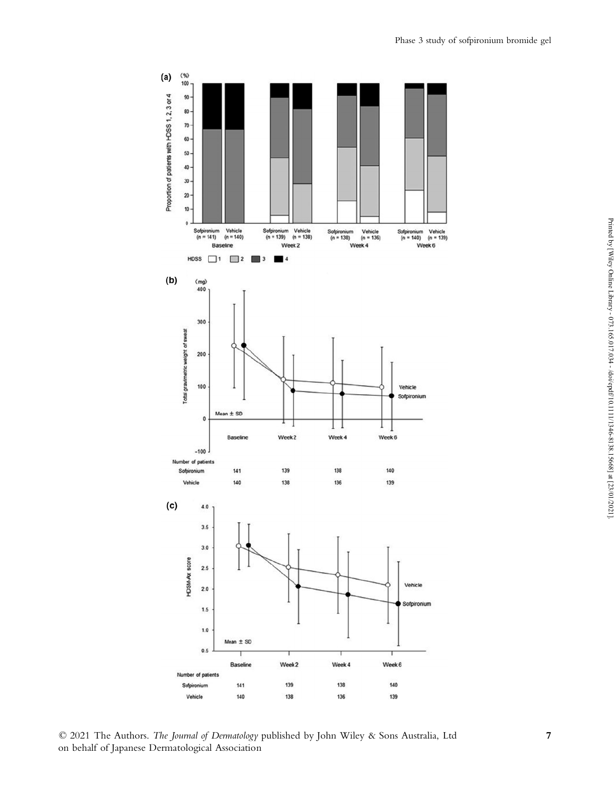

© 2021 The Authors. The Journal of Dermatology published by John Wiley & Sons Australia, Ltd 7 on behalf of Japanese Dermatological Association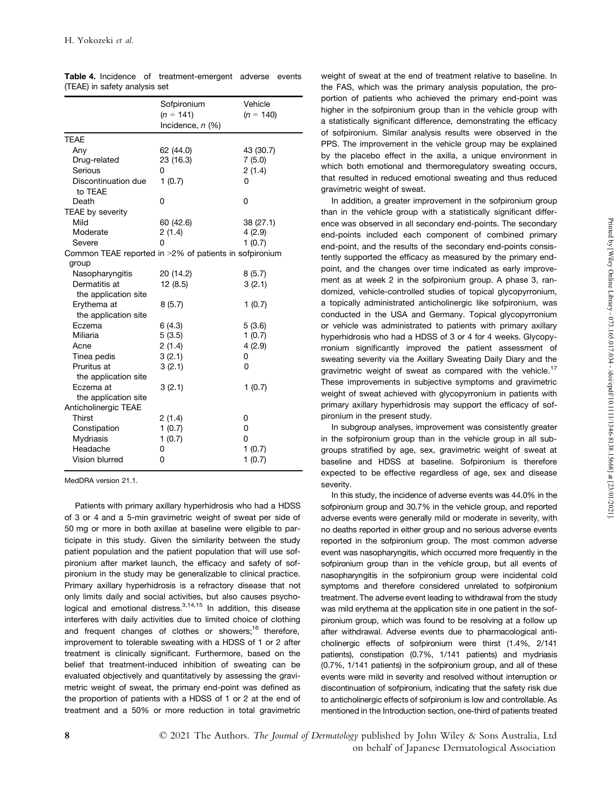|                                                                 | Sofpironium<br>$(n = 141)$<br>Incidence, $n$ (%) | Vehicle<br>$(n = 140)$ |
|-----------------------------------------------------------------|--------------------------------------------------|------------------------|
| <b>TEAE</b>                                                     |                                                  |                        |
| Any                                                             | 62 (44.0)                                        | 43 (30.7)              |
| Drug-related                                                    | 23 (16.3)                                        | 7(5.0)                 |
| Serious                                                         | 0                                                | 2(1.4)                 |
| Discontinuation due<br>to TEAE                                  | 1(0.7)                                           | 0                      |
| Death                                                           | 0                                                | 0                      |
| TEAE by severity                                                |                                                  |                        |
| Mild                                                            | 60 (42.6)                                        | 38 (27.1)              |
| Moderate                                                        | 2(1.4)                                           | 4(2.9)                 |
| Severe                                                          | 0                                                | 1(0.7)                 |
| Common TEAE reported in >2% of patients in sofpironium<br>group |                                                  |                        |
| Nasopharyngitis                                                 | 20 (14.2)                                        | 8(5.7)                 |
| Dermatitis at                                                   | 12(8.5)                                          | 3(2.1)                 |
| the application site                                            |                                                  |                        |
| Erythema at                                                     | 8(5.7)                                           | 1(0.7)                 |
| the application site                                            |                                                  |                        |
| Eczema                                                          | 6(4.3)                                           | 5(3.6)                 |
| Miliaria                                                        | 5(3.5)                                           | 1(0.7)                 |
| Acne                                                            | 2(1.4)                                           | 4(2.9)                 |
| Tinea pedis                                                     | 3(2.1)                                           | 0                      |
| Pruritus at                                                     | 3(2.1)                                           | 0                      |
| the application site                                            |                                                  |                        |
| Eczema at                                                       | 3(2.1)                                           | 1(0.7)                 |
| the application site                                            |                                                  |                        |
| Anticholinergic TEAE                                            |                                                  |                        |
| Thirst                                                          | 2(1.4)                                           | 0                      |
| Constipation                                                    | 1(0.7)                                           | 0                      |
| <b>Mydriasis</b>                                                | 1(0.7)                                           | 0                      |
| Headache                                                        | 0                                                | 1(0.7)                 |
| Vision blurred                                                  | 0                                                | 1(0.7)                 |

|                               |  | Table 4. Incidence of treatment-emergent adverse events |  |  |
|-------------------------------|--|---------------------------------------------------------|--|--|
| (TEAE) in safety analysis set |  |                                                         |  |  |

MedDRA version 21.1.

Patients with primary axillary hyperhidrosis who had a HDSS of 3 or 4 and a 5-min gravimetric weight of sweat per side of 50 mg or more in both axillae at baseline were eligible to participate in this study. Given the similarity between the study patient population and the patient population that will use sof pironium after market launch, the efficacy and safety of sof pironium in the study may be generalizable to clinical practice. Primary axillary hyperhidrosis is a refractory disease that not only limits daily and social activities, but also causes psychological and emotional distress.<sup>3,14,15</sup> In addition, this disease v interferes with daily activities due to limited choice of clothing and frequent changes of clothes or showers;<sup>16</sup> therefore, improvement to tolerable sweating with a HDSS of 1 or 2 after treatment is clinically significant. Furthermore, based on the belief that treatment-induced inhibition of sweating can be evaluated objectively and quantitatively by assessing the gravi metric weight of sweat, the primary end-point was defined as the proportion of patients with a HDSS of 1 or 2 at the end of treatment and a 50% or more reduction in total gravimetric

weight of sweat at the end of treatment relative to baseline. In the FAS, which was the primary analysis population, the pro portion of patients who achieved the primary end-point was higher in the sofpironium group than in the vehicle group with a statistically significant difference, demonstrating the efficacy of sofpironium. Similar analysis results were observed in the PPS. The improvement in the vehicle group may be explained by the placebo effect in the axilla, a unique environment in which both emotional and thermoregulatory sweating occurs, that resulted in reduced emotional sweating and thus reduced gravimetric weight of sweat.

In addition, a greater improvement in the sofpironium group than in the vehicle group with a statistically significant differ ence was observed in all secondary end-points. The secondary end-points included each component of combined primary end-point, and the results of the secondary end-points consistently supported the efficacy as measured by the primary end point, and the changes over time indicated as early improve ment as at week 2 in the sofpironium group. A phase 3, ran domized, vehicle-controlled studies of topical glycopyrronium, a topically administrated anticholinergic like sofpironium, was conducted in the USA and Germany. Topical glycopyrronium or vehicle was administrated to patients with primary axillary hyperhidrosis who had a HDSS of 3 or 4 for 4 weeks. Glycopyrronium significantly improved the patient assessment of sweating severity via the Axillary Sweating Daily Diary and the gravimetric weight of sweat as compared with the vehicle.<sup>17</sup> These improvements in subjective symptoms and gravimetric weight of sweat achieved with glycopyrronium in patients with primary axillary hyperhidrosis may support the efficacy of sof pironium in the present study.

In subgroup analyses, improvement was consistently greater in the sofpironium group than in the vehicle group in all sub groups stratified by age, sex, gravimetric weight of sweat at baseline and HDSS at baseline. Sofpironium is therefore expected to be effective regardless of age, sex and disease severity.

In this study, the incidence of adverse events was 44.0% in the sofpironium group and 30.7% in the vehicle group, and reported adverse events were generally mild or moderate in severity, with no deaths reported in either group and no serious adverse events reported in the sofpironium group. The most common adverse event was nasopharyngitis, which occurred more frequently in the sofpironium group than in the vehicle group, but all events of nasopharyngitis in the sofpironium group were incidental cold symptoms and therefore considered unrelated to sofpironium treatment. The adverse event leading to withdrawal from the study was mild erythema at the application site in one patient in the sof pironium group, which was found to be resolving at a follow up after withdrawal. Adverse events due to pharmacological anti cholinergic effects of sofpironium were thirst (1.4%, 2/141 patients), constipation (0.7%, 1/141 patients) and mydriasis  $(0.7\%$ ,  $1/141$  patients) in the sofpironium group, and all of these events were mild in severity and resolved without interruption or discontinuation of sofpironium, indicating that the safety risk due to anticholinergic effects of sofpironium is low and controllable. As mentioned in the Introduction section, one-third of patients treated

8 **8** © 2021 The Authors. *The Journal of Dermatology* published by John Wiley & Sons Australia, Ltd on behalf of Japanese Dermatological Association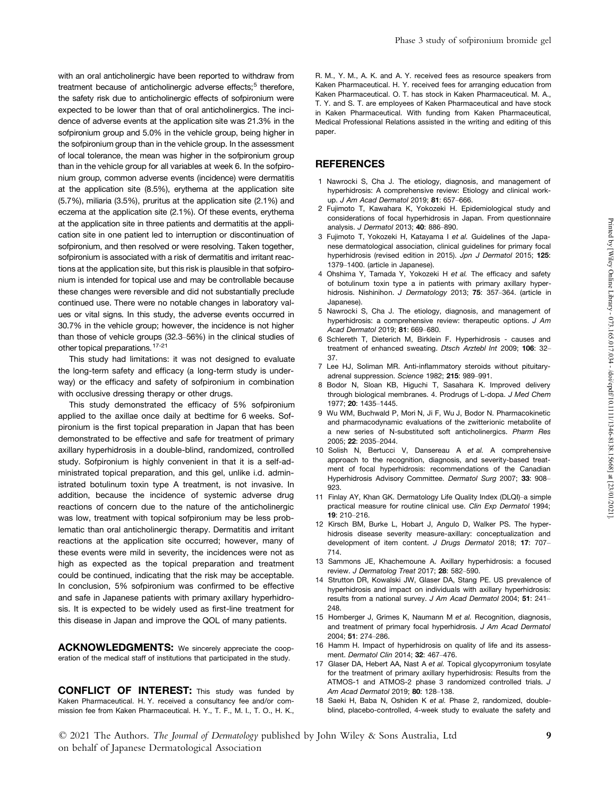with an oral anticholinergic have been reported to withdraw from treatment because of anticholinergic adverse effects;<sup>5</sup> therefore, the safety risk due to anticholinergic effects of sofpironium were expected to be lower than that of oral anticholinergics. The inci dence of adverse events at the application site was 21.3% in the sofpironium group and 5.0% in the vehicle group, being higher in the sofpironium group than in the vehicle group. In the assessment of local tolerance, the mean was higher in the sofpironium group than in the vehicle group for all variables at week 6. In the sofpironium group, common adverse events (incidence) were dermatitis at the application site (8.5%), erythema at the application site (5.7%), miliaria (3.5%), pruritus at the application site (2.1%) and eczema at the application site (2.1%). Of these events, erythema at the application site in three patients and dermatitis at the appli cation site in one patient led to interruption or discontinuation of sofpironium, and then resolved or were resolving. Taken together, sofpironium is associated with a risk of dermatitis and irritant reactions at the application site, but this risk is plausible in that sofpironium is intended for topical use and may be controllable because these changes were reversible and did not substantially preclude continued use. There were no notable changes in laboratory val ues or vital signs. In this study, the adverse events occurred in 30.7% in the vehicle group; however, the incidence is not higher than those of vehicle groups (32.3–56%) in the clinical studies of other topical preparations.17-21

This study had limitations: it was not designed to evaluate the long-term safety and efficacy (a long-term study is under way) or the efficacy and safety of sofpironium in combination with occlusive dressing therapy or other drugs.

This study demonstrated the efficacy of 5% sofpironium applied to the axillae once daily at bedtime for 6 weeks. Sof pironium is the first topical preparation in Japan that has been demonstrated to be effective and safe for treatment of primary axillary hyperhidrosis in a double-blind, randomized, controlled study. Sofpironium is highly convenient in that it is a self-ad ministrated topical preparation, and this gel, unlike i.d. administrated botulinum toxin type A treatment, is not invasive. In addition, because the incidence of systemic adverse drug reactions of concern due to the nature of the anticholinergic was low, treatment with topical sofpironium may be less problematic than oral anticholinergic therapy. Dermatitis and irritant reactions at the application site occurred; however, many of these events were mild in severity, the incidences were not as high as expected as the topical preparation and treatment could be continued, indicating that the risk may be acceptable. In conclusion, 5% sofpironium was confirmed to be effective and safe in Japanese patients with primary axillary hyperhidro sis. It is expected to be widely used as first-line treatment for this disease in Japan and improve the QOL of many patients.

ACKNOWLEDGMENTS: We sincerely appreciate the cooperation of the medical staff of institutions that participated in the study.

CONFLICT OF INTEREST: This study was funded by Kaken Pharmaceutical. H. Y. received a consultancy fee and/or com mission fee from Kaken Pharmaceutical. H. Y., T. F., M. I., T. O., H. K., R. M., Y. M., A. K. and A. Y. received fees as resource speakers from Kaken Pharmaceutical. H. Y. received fees for arranging education from Kaken Pharmaceutical. O. T. has stock in Kaken Pharmaceutical. M. A., T. Y. and S. T. are employees of Kaken Pharmaceutical and have stock in Kaken Pharmaceutical. With funding from Kaken Pharmaceutical, Medical Professional Relations assisted in the writing and editing of this paper.

#### **REFERENCES**

- 1 Nawrocki S, Cha J. The etiology, diagnosis, and management of hyperhidrosis: A comprehensive review: Etiology and clinical workup. J Am Acad Dermatol 2019; 81: 657–666.
- 2 Fujimoto T, Kawahara K, Yokozeki H. Epidemiological study and considerations of focal hyperhidrosis in Japan. From questionnaire analysis. J Dermatol 2013; 40: 886–890.
- 3 Fujimoto T, Yokozeki H, Katayama I et al. Guidelines of the Japa nese dermatological association, clinical guidelines for primary focal hyperhidrosis (revised edition in 2015). Jpn J Dermatol 2015; 125: 1379–1400. (article in Japanese).
- 4 Ohshima Y, Tamada Y, Yokozeki H et al. The efficacy and safety of botulinum toxin type a in patients with primary axillary hyper hidrosis. Nishinihon. J Dermatology 2013; 75: 357-364. (article in Japanese).
- 5 Nawrocki S, Cha J. The etiology, diagnosis, and management of hyperhidrosis: a comprehensive review: therapeutic options. J Am Acad Dermatol 2019; 81: 669–680.
- 6 Schlereth T, Dieterich M, Birklein F. Hyperhidrosis causes and treatment of enhanced sweating. Dtsch Arztebl Int 2009; 106: 32– 37.
- 7 Lee HJ, Soliman MR. Anti-inflammatory steroids without pituitary adrenal suppression. Science 1982; 215: 989–991.
- 8 Bodor N, Sloan KB, Higuchi T, Sasahara K. Improved delivery through biological membranes. 4. Prodrugs of L-dopa. J Med Chem 1977; 20: 1435–1445.
- 9 Wu WM, Buchwald P, Mori N, Ji F, Wu J, Bodor N. Pharmacokinetic and pharmacodynamic evaluations of the zwitterionic metabolite of a new series of N-substituted soft anticholinergics. Pharm Res 2005; 22: 2035–2044.
- 10 Solish N, Bertucci V, Dansereau A et al. A comprehensive approach to the recognition, diagnosis, and severity-based treat ment of focal hyperhidrosis: recommendations of the Canadian Hyperhidrosis Advisory Committee. Dermatol Surg 2007; 33: 908– 923.
- 11 Finlay AY, Khan GK. Dermatology Life Quality Index (DLQI)–a simple practical measure for routine clinical use. Clin Exp Dermatol 1994; 19: 210–216.
- 12 Kirsch BM, Burke L, Hobart J, Angulo D, Walker PS. The hyperhidrosis disease severity measure-axillary: conceptualization and development of item content. J Drugs Dermatol 2018; 17: 707– 714.
- 13 Sammons JE, Khachemoune A. Axillary hyperhidrosis: a focused review. J Dermatolog Treat 2017; 28: 582–590.
- 14 Strutton DR, Kowalski JW, Glaser DA, Stang PE. US prevalence of hyperhidrosis and impact on individuals with axillary hyperhidrosis: results from a national survey. J Am Acad Dermatol 2004; 51: 241– 248.
- 15 Hornberger J, Grimes K, Naumann M et al. Recognition, diagnosis, and treatment of primary focal hyperhidrosis. J Am Acad Dermatol 2004; 51: 274–286.
- 16 Hamm H. Impact of hyperhidrosis on quality of life and its assess ment. Dermatol Clin 2014; 32: 467–476.
- 17 Glaser DA, Hebert AA, Nast A et al. Topical glycopyrronium tosylate for the treatment of primary axillary hyperhidrosis: Results from the ATMOS-1 and ATMOS-2 phase 3 randomized controlled trials. J Am Acad Dermatol 2019; 80: 128–138.
- 18 Saeki H, Baba N, Oshiden K et al. Phase 2, randomized, doubleblind, placebo-controlled, 4-week study to evaluate the safety and

© 2021 The Authors. The Journal of Dermatology published by John Wiley & Sons Australia, Ltd 9 on behalf of Japanese Dermatological Association